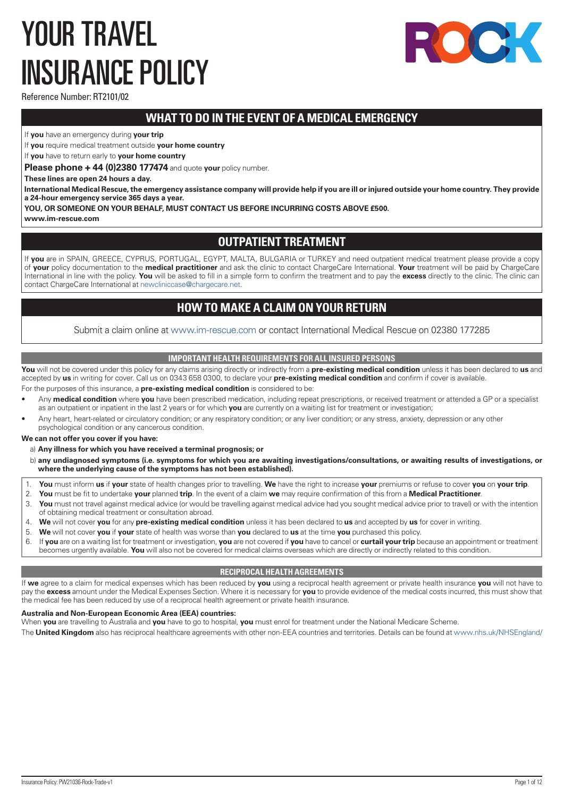# <span id="page-0-0"></span>YOUR TRAVEL INSURANCE POLICY



Reference Number: RT2101/02

# **WHAT TO DO IN THE EVENT OF A MEDICAL EMERGENCY**

If **you** have an emergency during **your trip**

If **you** require medical treatment outside **your home country**

If **you** have to return early to **your home country**

**Please phone + 44 (0)2380 177474** and quote **your** policy number.

**These lines are open 24 hours a day.** 

**International Medical Rescue, the emergency assistance company will provide help if you are ill or injured outside your home country. They provide a 24-hour emergency service 365 days a year.**

**YOU, OR SOMEONE ON YOUR BEHALF, MUST CONTACT US BEFORE INCURRING COSTS ABOVE £500.**

**www.im-rescue.com**

# **OUTPATIENT TREATMENT**

If **you** are in SPAIN, GREECE, CYPRUS, PORTUGAL, EGYPT, MALTA, BULGARIA or TURKEY and need outpatient medical treatment please provide a copy of **your** policy documentation to the **medical practitioner** and ask the clinic to contact ChargeCare International. **Your** treatment will be paid by ChargeCare International in line with the policy. **You** will be asked to fill in a simple form to confirm the treatment and to pay the **excess** directly to the clinic. The clinic can contact ChargeCare International at [newcliniccase@chargecare.net](mailto:newcliniccase@chargecare.net).

# **HOW TO MAKE A CLAIM ON YOUR RETURN**

Submit a claim online at [www.im-rescue.com](https://www.im-rescue.com) or contact International Medical Rescue on 02380 177285

# **IMPORTANT HEALTH REQUIREMENTS FOR ALL INSURED PERSONS**

**You** will not be covered under this policy for any claims arising directly or indirectly from a **pre-existing medical condition** unless it has been declared to **us** and accepted by **us** in writing for cover. Call us on 0343 658 0300, to declare your **pre-existing medical condition** and confirm if cover is available.

For the purposes of this insurance, a **pre-existing medical condition** is considered to be:

- Any **medical condition** where **you** have been prescribed medication, including repeat prescriptions, or received treatment or attended a GP or a specialist as an outpatient or inpatient in the last 2 years or for which **you** are currently on a waiting list for treatment or investigation;
- Any heart, heart-related or circulatory condition; or any respiratory condition; or any liver condition; or any stress, anxiety, depression or any other psychological condition or any cancerous condition.

# **We can not offer you cover if you have:**

a) **Any illness for which you have received a terminal prognosis; or**

- b) **any undiagnosed symptoms (i.e. symptoms for which you are awaiting investigations/consultations, or awaiting results of investigations, or where the underlying cause of the symptoms has not been established).**
- 1. **You** must inform **us** if **your** state of health changes prior to travelling. **We** have the right to increase **your** premiums or refuse to cover **you** on **your trip**.
- 2. **You** must be fit to undertake **your** planned **trip**. In the event of a claim **we** may require confirmation of this from a **Medical Practitioner**.
- 3. **You** must not travel against medical advice (or would be travelling against medical advice had you sought medical advice prior to travel) or with the intention of obtaining medical treatment or consultation abroad.
- 4. **We** will not cover **you** for any **pre-existing medical condition** unless it has been declared to **us** and accepted by **us** for cover in writing.
- 5. **We** will not cover **you** if **your** state of health was worse than **you** declared to **us** at the time **you** purchased this policy.
- 6. If **you** are on a waiting list for treatment or investigation, **you** are not covered if **you** have to cancel or **curtail your trip** because an appointment or treatment becomes urgently available. **You** will also not be covered for medical claims overseas which are directly or indirectly related to this condition.

# **RECIPROCAL HEALTH AGREEMENTS**

If **we** agree to a claim for medical expenses which has been reduced by **you** using a reciprocal health agreement or private health insurance **you** will not have to pay the **excess** amount under the Medical Expenses Section. Where it is necessary for **you** to provide evidence of the medical costs incurred, this must show that the medical fee has been reduced by use of a reciprocal health agreement or private health insurance.

# **Australia and Non-European Economic Area (EEA) countries:**

When **you** are travelling to Australia and **you** have to go to hospital, **you** must enrol for treatment under the National Medicare Scheme.

The **United Kingdom** also has reciprocal healthcare agreements with other non-EEA countries and territories. Details can be found at [www.nhs.uk/NHSEngland/](http://www.nhs.uk/NHSEngland/)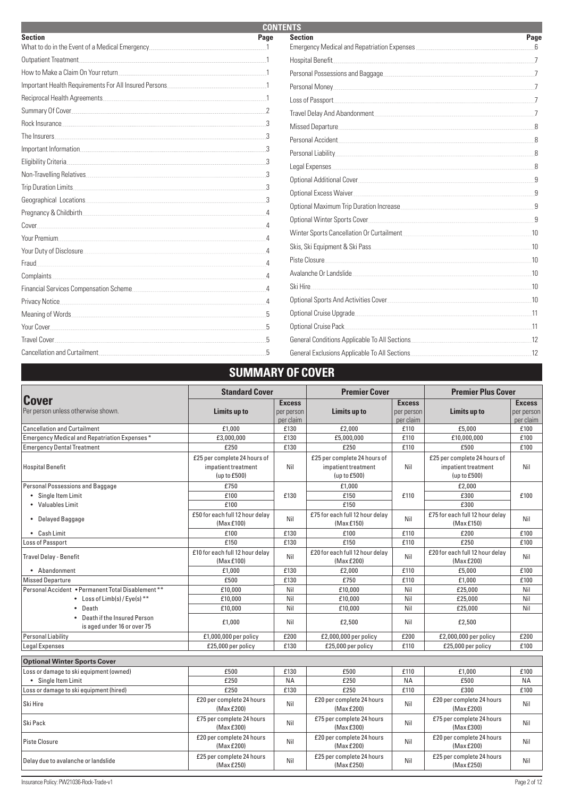| <b>CONTENTS</b>                                                                                                                                                                                                                                                                                                                         |                 |                                                                                                                  |      |  |  |
|-----------------------------------------------------------------------------------------------------------------------------------------------------------------------------------------------------------------------------------------------------------------------------------------------------------------------------------------|-----------------|------------------------------------------------------------------------------------------------------------------|------|--|--|
| <b>Section</b>                                                                                                                                                                                                                                                                                                                          | Page            | <b>Section</b>                                                                                                   | Page |  |  |
| What to do in the Event of a Medical Emergency                                                                                                                                                                                                                                                                                          |                 |                                                                                                                  |      |  |  |
| Outpatient Treatment.                                                                                                                                                                                                                                                                                                                   |                 | Hospital Benefit                                                                                                 |      |  |  |
| How to Make a Claim On Your return example and the state of the Make a Claim On Your return and the state of the Make 1                                                                                                                                                                                                                 |                 | Personal Possessions and Baggage                                                                                 |      |  |  |
| Important Health Requirements For All Insured Persons<br>$\sim$ 100 $\sim$ 100 $\sim$ 100 $\sim$ 100 $\sim$ 100 $\sim$ 100 $\sim$ 100 $\sim$ 100 $\sim$ 100 $\sim$ 100 $\sim$ 100 $\sim$ 100 $\sim$ 100 $\sim$ 100 $\sim$ 100 $\sim$ 100 $\sim$ 100 $\sim$ 100 $\sim$ 100 $\sim$ 100 $\sim$ 100 $\sim$ 100 $\sim$ 100 $\sim$ 100 $\sim$ |                 |                                                                                                                  |      |  |  |
|                                                                                                                                                                                                                                                                                                                                         |                 | Loss of Passport                                                                                                 |      |  |  |
| Summary Of Cover 2014 19:00 12:00 12:00 12:00 12:00 12:00 12:00 12:00 12:00 12:00 12:00 12:00 12:00 12:00 12:00 12:00 12:00 12:00 12:00 12:00 12:00 12:00 12:00 12:00 12:00 12:00 12:00 12:00 12:00 12:00 12:00 12:00 12:00 12                                                                                                          |                 | Travel Delay And Abandonment                                                                                     |      |  |  |
| Rock Insurance <b>Executive Constructs</b>                                                                                                                                                                                                                                                                                              |                 |                                                                                                                  |      |  |  |
| The Insurers                                                                                                                                                                                                                                                                                                                            |                 | Personal Accident                                                                                                |      |  |  |
| Important Information                                                                                                                                                                                                                                                                                                                   |                 |                                                                                                                  |      |  |  |
| Eligibility Criteria                                                                                                                                                                                                                                                                                                                    |                 | Legal Expenses                                                                                                   |      |  |  |
| Non-Travelling Relatives                                                                                                                                                                                                                                                                                                                |                 | Optional Additional Cover Contract Cover Cover Cover Cover Cover Cover Cover Cover Cover Cover Cover Cover Cover |      |  |  |
| Trip Duration Limits                                                                                                                                                                                                                                                                                                                    |                 | Optional Excess Waiver                                                                                           |      |  |  |
|                                                                                                                                                                                                                                                                                                                                         |                 |                                                                                                                  |      |  |  |
| Pregnancy & Childbirth                                                                                                                                                                                                                                                                                                                  |                 |                                                                                                                  |      |  |  |
| Cover                                                                                                                                                                                                                                                                                                                                   |                 | Optional Winter Sports Cover                                                                                     |      |  |  |
| Your Premium                                                                                                                                                                                                                                                                                                                            |                 |                                                                                                                  | 10   |  |  |
| Your Duty of Disclosure                                                                                                                                                                                                                                                                                                                 |                 | Skis, Ski Equipment & Ski Pass                                                                                   | 10   |  |  |
| Fraud.                                                                                                                                                                                                                                                                                                                                  |                 | Piste Closure                                                                                                    | .10  |  |  |
| Complaints.                                                                                                                                                                                                                                                                                                                             |                 | Avalanche Or Landslide                                                                                           | .10  |  |  |
| Financial Services Compensation Scheme                                                                                                                                                                                                                                                                                                  |                 | Ski Hire                                                                                                         | 10   |  |  |
| Privacy Notice                                                                                                                                                                                                                                                                                                                          | $\overline{4}$  |                                                                                                                  | 10   |  |  |
|                                                                                                                                                                                                                                                                                                                                         | $5\overline{2}$ | Optional Cruise Upgrade                                                                                          |      |  |  |
| Your Cover                                                                                                                                                                                                                                                                                                                              |                 | Optional Cruise Pack                                                                                             | -11  |  |  |
| <b>Travel Cover</b>                                                                                                                                                                                                                                                                                                                     |                 | General Conditions Applicable To All Sections                                                                    | 12   |  |  |
| Cancellation and Curtailment                                                                                                                                                                                                                                                                                                            |                 | General Exclusions Applicable To All Sections                                                                    | .12  |  |  |

# **SUMMARY OF COVER**

| <b>Standard Cover</b>                                        |                                                                     |                                          | <b>Premier Cover</b>                                                |                                          | <b>Premier Plus Cover</b>                                           |                                          |  |
|--------------------------------------------------------------|---------------------------------------------------------------------|------------------------------------------|---------------------------------------------------------------------|------------------------------------------|---------------------------------------------------------------------|------------------------------------------|--|
| <b>Cover</b><br>Per person unless otherwise shown.           | Limits up to                                                        | <b>Excess</b><br>per person<br>per claim | Limits up to                                                        | <b>Excess</b><br>per person<br>per claim | Limits up to                                                        | <b>Excess</b><br>per person<br>per claim |  |
| <b>Cancellation and Curtailment</b>                          | £1,000                                                              | £130                                     | £2,000                                                              | £110                                     | £5,000                                                              | £100                                     |  |
| Emergency Medical and Repatriation Expenses*                 | £3,000,000                                                          | £130                                     | £5,000,000                                                          | £110                                     | £10,000,000                                                         | £100                                     |  |
| <b>Emergency Dental Treatment</b>                            | £250                                                                | £130                                     | £250                                                                | £110                                     | £500                                                                | £100                                     |  |
| <b>Hospital Benefit</b>                                      | £25 per complete 24 hours of<br>impatient treatment<br>(up to £500) | Nil                                      | £25 per complete 24 hours of<br>impatient treatment<br>(up to £500) | Nil                                      | £25 per complete 24 hours of<br>impatient treatment<br>(up to £500) | Nil                                      |  |
| Personal Possessions and Baggage                             | £750                                                                |                                          | £1,000                                                              |                                          | £2,000                                                              |                                          |  |
| • Single Item Limit                                          | £100                                                                | £130                                     | £150                                                                | £110                                     | £300                                                                | £100                                     |  |
| • Valuables Limit                                            | £100                                                                |                                          | £150                                                                |                                          | £300                                                                |                                          |  |
| • Delayed Baggage                                            | £50 for each full 12 hour delay<br>(Max £100)                       | Nil                                      | £75 for each full 12 hour delay<br>(Max£150)                        | Nil                                      | £75 for each full 12 hour delay<br>(Max £150)                       | Nil                                      |  |
| • Cash Limit                                                 | £100                                                                | £130                                     | £100                                                                | £110                                     | £200                                                                | £100                                     |  |
| Loss of Passport                                             | £150                                                                | £130                                     | £150                                                                | £110                                     | £250                                                                | £100                                     |  |
| Travel Delay - Benefit                                       | £10 for each full 12 hour delay<br>(Max £100)                       | Nil                                      | £20 for each full 12 hour delay<br>(Max £200)                       | Nil                                      | £20 for each full 12 hour delay<br>(Max £200)                       | Nil                                      |  |
| • Abandonment                                                | £1.000                                                              | £130                                     | £2,000                                                              | £110                                     | £5,000                                                              | £100                                     |  |
| <b>Missed Departure</b>                                      | £500                                                                | £130                                     | £750                                                                | £110                                     | £1,000                                                              | £100                                     |  |
| Personal Accident . Permanent Total Disablement **           | £10,000                                                             | Nil                                      | £10.000                                                             | Nil                                      | £25.000                                                             | Nil                                      |  |
| • Loss of $Limb(s)/Eye(s)$ <sup>**</sup>                     | £10,000                                                             | Nil                                      | £10,000                                                             | Nil                                      | £25,000                                                             | Nil                                      |  |
| • Death                                                      | £10,000                                                             | Nil                                      | £10,000                                                             | Nil                                      | £25,000                                                             | Nil                                      |  |
| • Death if the Insured Person<br>is aged under 16 or over 75 | £1,000                                                              | Nil                                      | £2,500                                                              | Nil                                      | £2,500                                                              |                                          |  |
| <b>Personal Liability</b>                                    | £1,000,000 per policy                                               | £200                                     | £2,000,000 per policy                                               | £200                                     | £2,000,000 per policy                                               | £200                                     |  |
| <b>Legal Expenses</b>                                        | £25,000 per policy                                                  | £130                                     | £25,000 per policy                                                  | £110                                     | £25,000 per policy                                                  | £100                                     |  |
| <b>Optional Winter Sports Cover</b>                          |                                                                     |                                          |                                                                     |                                          |                                                                     |                                          |  |
| Loss or damage to ski equipment (owned)                      | £500                                                                | £130                                     | £500                                                                | £110                                     | £1,000                                                              | £100                                     |  |
| • Single Item Limit                                          | £250                                                                | <b>NA</b>                                | £250                                                                | <b>NA</b>                                | £500                                                                | <b>NA</b>                                |  |
| Loss or damage to ski equipment (hired)                      | £250                                                                | £130                                     | £250                                                                | £110                                     | £300                                                                | £100                                     |  |
| Ski Hire                                                     | £20 per complete 24 hours<br>(Max £200)                             | Nil                                      | £20 per complete 24 hours<br>(Max £200)                             | Nil                                      | £20 per complete 24 hours<br>(Max £200)                             | Nil                                      |  |
| Ski Pack                                                     | £75 per complete 24 hours<br>(Max £300)                             | Nil                                      | £75 per complete 24 hours<br>(Max £300)                             | Nil                                      | £75 per complete 24 hours<br>(Max £300)                             | Nil                                      |  |
| Piste Closure                                                | £20 per complete 24 hours<br>(Max £200)                             | Nil                                      | £20 per complete 24 hours<br>(Max £200)                             | Nil                                      | £20 per complete 24 hours<br>(Max £200)                             | Nil                                      |  |
| Delay due to avalanche or landslide                          | £25 per complete 24 hours<br>(Max £250)                             | Nil                                      | £25 per complete 24 hours<br>(MaxE250)                              | Nil                                      | £25 per complete 24 hours<br>(Max £250)                             | Nil                                      |  |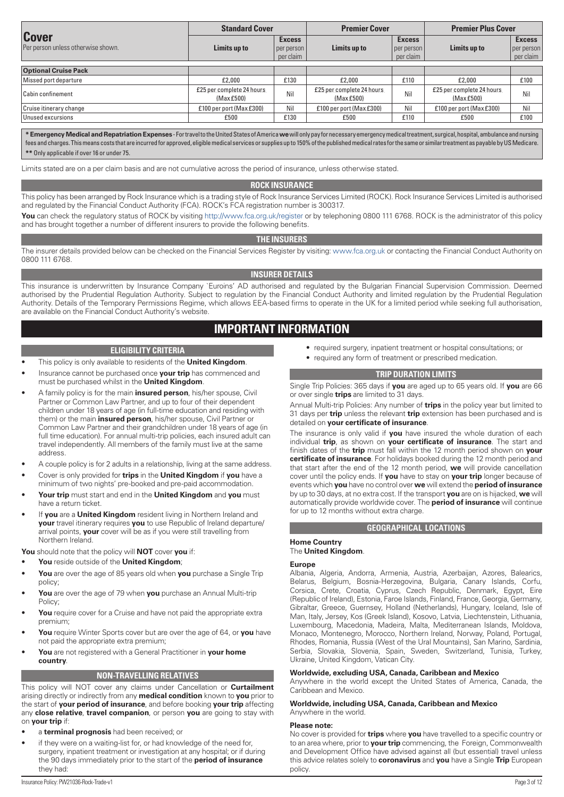<span id="page-2-0"></span>

|                                                    | <b>Standard Cover</b>                   |                                            | <b>Premier Cover</b>                   |                                          | <b>Premier Plus Cover</b>               |                                          |
|----------------------------------------------------|-----------------------------------------|--------------------------------------------|----------------------------------------|------------------------------------------|-----------------------------------------|------------------------------------------|
| <b>Cover</b><br>Per person unless otherwise shown. | Limits up to                            | <b>Excess</b><br>per person  <br>per claim | Limits up to                           | <b>Excess</b><br>per person<br>per claim | Limits up to                            | <b>Excess</b><br>per person<br>per claim |
| <b>Optional Cruise Pack</b>                        |                                         |                                            |                                        |                                          |                                         |                                          |
| Missed port departure                              | £2,000                                  | £130                                       | £2,000                                 | £110                                     | £2,000                                  | £100                                     |
| Cabin confinement                                  | £25 per complete 24 hours<br>(Max £500) | <b>Nil</b>                                 | £25 per complete 24 hours<br>(MaxE500) | <b>Nil</b>                               | £25 per complete 24 hours.<br>(MaxE500) | Nil.                                     |
| Cruise itinerary change                            | £100 per port (Max £300).               | Nil.                                       | £100 per port (Max £300)               | Nil.                                     | £100 per port (Max £300)                | Nil.                                     |
| Unused excursions                                  | £500                                    | £130                                       | £500                                   | £110                                     | £500                                    | £100                                     |

**\* Emergency Medical and Repatriation Expenses** - For travel to the United States of America **we** will only pay for necessary emergency medical treatment, surgical, hospital, ambulance and nursing fees and charges. This means costs that are incurred for approved, eligible medical services or supplies up to 150% of the published medical rates for the same or similar treatment as payable by US Medicare. **\*\*** Only applicable if over 16 or under 75.

Limits stated are on a per claim basis and are not cumulative across the period of insurance, unless otherwise stated.

# **ROCK INSURANCE**

This policy has been arranged by Rock Insurance which is a trading style of Rock Insurance Services Limited (ROCK). Rock Insurance Services Limited is authorised and regulated by the Financial Conduct Authority (FCA). ROCK's FCA registration number is 300317.

You can check the regulatory status of ROCK by visiting <http://www.fca.org.uk/register> or by telephoning 0800 111 6768. ROCK is the administrator of this policy and has brought together a number of different insurers to provide the following benefits.

#### **THE INSURERS**

The insurer details provided below can be checked on the Financial Services Register by visiting: [www.fca.org.uk](http://www.fca.org.uk) or contacting the Financial Conduct Authority on 0800 111 6768.

# **INSURER DETAILS**

This insurance is underwritten by Insurance Company `Euroins' AD authorised and regulated by the Bulgarian Financial Supervision Commission. Deemed authorised by the Prudential Regulation Authority. Subject to regulation by the Financial Conduct Authority and limited regulation by the Prudential Regulation Authority. Details of the Temporary Permissions Regime, which allows EEA-based firms to operate in the UK for a limited period while seeking full authorisation, are available on the Financial Conduct Authority's website.

# **IMPORTANT INFORMATION**

#### **ELIGIBILITY CRITERIA**

- This policy is only available to residents of the **United Kingdom**.
- Insurance cannot be purchased once **your trip** has commenced and must be purchased whilst in the **United Kingdom**.
- A family policy is for the main **insured person**, his/her spouse, Civil Partner or Common Law Partner, and up to four of their dependent children under 18 years of age (in full-time education and residing with them) or the main **insured person**, his/her spouse, Civil Partner or Common Law Partner and their grandchildren under 18 years of age (in full time education). For annual multi-trip policies, each insured adult can travel independently. All members of the family must live at the same address.
- A couple policy is for 2 adults in a relationship, living at the same address.
- Cover is only provided for **trips** in the **United Kingdom** if **you** have a minimum of two nights' pre-booked and pre-paid accommodation.
- **Your trip** must start and end in the **United Kingdom** and **you** must have a return ticket.
- If **you** are a **United Kingdom** resident living in Northern Ireland and **your** travel itinerary requires **you** to use Republic of Ireland departure/ arrival points, **your** cover will be as if you were still travelling from Northern Ireland.

**You** should note that the policy will **NOT** cover **you** if:

- **You** reside outside of the **United Kingdom**;
- **You** are over the age of 85 years old when **you** purchase a Single Trip policy;
- **You** are over the age of 79 when **you** purchase an Annual Multi-trip Policy;
- You require cover for a Cruise and have not paid the appropriate extra premium;
- **You** require Winter Sports cover but are over the age of 64, or **you** have not paid the appropriate extra premium;
- **You** are not registered with a General Practitioner in **your home country**.

# **NON-TRAVELLING RELATIVES**

This policy will NOT cover any claims under Cancellation or **Curtailment** arising directly or indirectly from any **medical condition** known to **you** prior to the start of **your period of insurance**, and before booking **your trip** affecting any **close relative**, **travel companion**, or person **you** are going to stay with on **your trip** if:

- a **terminal prognosis** had been received; or
- if they were on a waiting-list for, or had knowledge of the need for, surgery, inpatient treatment or investigation at any hospital; or if during the 90 days immediately prior to the start of the **period of insurance** they had:
- required surgery, inpatient treatment or hospital consultations; or
- required any form of treatment or prescribed medication.

# **TRIP DURATION LIMITS**

Single Trip Policies: 365 days if **you** are aged up to 65 years old. If **you** are 66 or over single **trips** are limited to 31 days.

Annual Multi-trip Policies: Any number of **trips** in the policy year but limited to 31 days per **trip** unless the relevant **trip** extension has been purchased and is detailed on **your certificate of insurance**.

The insurance is only valid if **you** have insured the whole duration of each individual **trip**, as shown on **your certificate of insurance**. The start and finish dates of the **trip** must fall within the 12 month period shown on **your certificate of insurance**. For holidays booked during the 12 month period and that start after the end of the 12 month period, **we** will provide cancellation cover until the policy ends. If **you** have to stay on **your trip** longer because of events which **you** have no control over **we** will extend the **period of insurance** by up to 30 days, at no extra cost. If the transport **you** are on is hijacked, **we** will automatically provide worldwide cover. The **period of insurance** will continue for up to 12 months without extra charge.

#### **GEOGRAPHICAL LOCATIONS**

# **Home Country**

# The **United Kingdom**.

#### **Europe**

Albania, Algeria, Andorra, Armenia, Austria, Azerbaijan, Azores, Balearics, Belarus, Belgium, Bosnia-Herzegovina, Bulgaria, Canary Islands, Corfu, Corsica, Crete, Croatia, Cyprus, Czech Republic, Denmark, Egypt, Eire (Republic of Ireland), Estonia, Faroe Islands, Finland, France, Georgia, Germany, Gibraltar, Greece, Guernsey, Holland (Netherlands), Hungary, Iceland, Isle of Man, Italy, Jersey, Kos (Greek Island), Kosovo, Latvia, Liechtenstein, Lithuania, Luxembourg, Macedonia, Madeira, Malta, Mediterranean Islands, Moldova, Monaco, Montenegro, Morocco, Northern Ireland, Norway, Poland, Portugal, Rhodes, Romania, Russia (West of the Ural Mountains), San Marino, Sardinia, Serbia, Slovakia, Slovenia, Spain, Sweden, Switzerland, Tunisia, Turkey, Ukraine, United Kingdom, Vatican City.

# **Worldwide, excluding USA, Canada, Caribbean and Mexico**

Anywhere in the world except the United States of America, Canada, the Caribbean and Mexico.

**Worldwide, including USA, Canada, Caribbean and Mexico** Anywhere in the world.

#### **Please note:**

No cover is provided for **trips** where **you** have travelled to a specific country or to an area where, prior to **your trip** commencing, the Foreign, Commonwealth and Development Office have advised against all (but essential) travel unless this advice relates solely to **coronavirus** and **you** have a Single **Trip** European policy.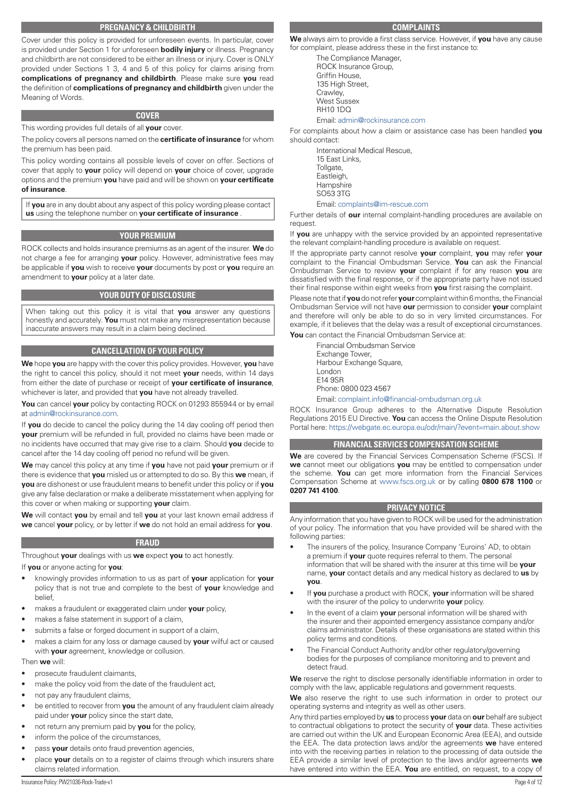# **PREGNANCY & CHILDBIRTH**

<span id="page-3-0"></span>Cover under this policy is provided for unforeseen events. In particular, cover is provided under Section 1 for unforeseen **bodily injury** or illness. Pregnancy and childbirth are not considered to be either an illness or injury. Cover is ONLY provided under Sections 1 3, 4 and 5 of this policy for claims arising from **complications of pregnancy and childbirth**. Please make sure **you** read the definition of **complications of pregnancy and childbirth** given under the Meaning of Words.

#### **COVER**

This wording provides full details of all **your** cover.

The policy covers all persons named on the **certificate of insurance** for whom the premium has been paid.

This policy wording contains all possible levels of cover on offer. Sections of cover that apply to **your** policy will depend on **your** choice of cover, upgrade options and the premium **you** have paid and will be shown on **your certificate of insurance**.

If **you** are in any doubt about any aspect of this policy wording please contact **us** using the telephone number on **your certificate of insurance** .

#### **YOUR PREMIUM**

ROCK collects and holds insurance premiums as an agent of the insurer. **We** do not charge a fee for arranging **your** policy. However, administrative fees may be applicable if **you** wish to receive **your** documents by post or **you** require an amendment to **your** policy at a later date.

# **YOUR DUTY OF DISCLOSURE**

When taking out this policy it is vital that **you** answer any questions honestly and accurately. **You** must not make any misrepresentation because inaccurate answers may result in a claim being declined.

# **CANCELLATION OF YOUR POLICY**

**We** hope **you** are happy with the cover this policy provides. However, **you** have the right to cancel this policy, should it not meet **your** needs, within 14 days from either the date of purchase or receipt of **your certificate of insurance**, whichever is later, and provided that **you** have not already travelled.

**You** can cancel **your** policy by contacting ROCK on 01293 855944 or by email at [admin@rockinsurance.com](mailto:admin@rockinsurance.com).

If **you** do decide to cancel the policy during the 14 day cooling off period then **your** premium will be refunded in full, provided no claims have been made or no incidents have occurred that may give rise to a claim. Should **you** decide to cancel after the 14 day cooling off period no refund will be given.

**We** may cancel this policy at any time if **you** have not paid **your** premium or if there is evidence that **you** misled us or attempted to do so. By this **we** mean, if **you** are dishonest or use fraudulent means to benefit under this policy or if **you** give any false declaration or make a deliberate misstatement when applying for this cover or when making or supporting **your** claim.

**We** will contact **you** by email and tell **you** at your last known email address if **we** cancel **your** policy, or by letter if **we** do not hold an email address for **you**.

#### **FRAUD**

Throughout **your** dealings with us **we** expect **you** to act honestly.

If **you** or anyone acting for **you**:

- knowingly provides information to us as part of **your** application for **your** policy that is not true and complete to the best of **your** knowledge and belief,
- makes a fraudulent or exaggerated claim under **your** policy,
- makes a false statement in support of a claim,
- submits a false or forged document in support of a claim,
- makes a claim for any loss or damage caused by **your** wilful act or caused with **your** agreement, knowledge or collusion.

#### Then **we** will:

- prosecute fraudulent claimants,
- make the policy void from the date of the fraudulent act,
- not pay any fraudulent claims,
- be entitled to recover from **you** the amount of any fraudulent claim already paid under **your** policy since the start date,
- not return any premium paid by **you** for the policy,
- inform the police of the circumstances,
- pass **your** details onto fraud prevention agencies,
- place **your** details on to a register of claims through which insurers share claims related information.

## **COMPLAINTS**

**We** always aim to provide a first class service. However, if **you** have any cause for complaint, please address these in the first instance to:

The Compliance Manager, ROCK Insurance Group, Griffin House, 135 High Street, Crawley, West Sussex RH10 1DQ Email: admin@rockinsurance.com

For complaints about how a claim or assistance case has been handled **you** should contact:

International Medical Rescue, 15 East Links, Tollgate, Eastleigh, **Hampshire** SO53 3TG Email: complaints@im-rescue.com

Further details of **our** internal complaint-handling procedures are available on request.

If **you** are unhappy with the service provided by an appointed representative the relevant complaint-handling procedure is available on request.

If the appropriate party cannot resolve **your** complaint, **you** may refer **your** complaint to the Financial Ombudsman Service. **You** can ask the Financial Ombudsman Service to review **your** complaint if for any reason **you** are dissatisfied with the final response, or if the appropriate party have not issued their final response within eight weeks from **you** first raising the complaint.

Please note that if **you** do not refer **your** complaint within 6 months, the Financial Ombudsman Service will not have **our** permission to consider **your** complaint and therefore will only be able to do so in very limited circumstances. For example, if it believes that the delay was a result of exceptional circumstances.

**You** can contact the Financial Ombudsman Service at:

Financial Ombudsman Service Exchange Tower, Harbour Exchange Square, London E14 9SR Phone: 0800 023 4567 Email: complaint.info@financial-ombudsman.org.uk

ROCK Insurance Group adheres to the Alternative Dispute Resolution Regulations 2015 EU Directive. **You** can access the Online Dispute Resolution Portal here: <https://webgate.ec.europa.eu/odr/main/?event=main.about.show>

#### **FINANCIAL SERVICES COMPENSATION SCHEME**

**We** are covered by the Financial Services Compensation Scheme (FSCS). If **we** cannot meet our obligations **you** may be entitled to compensation under the scheme. **You** can get more information from the Financial Services Compensation Scheme at [www.fscs.org.uk](http://www.fscs.org.uk) or by calling **0800 678 1100** or **0207 741 4100**.

#### **PRIVACY NOTICE**

Any information that you have given to ROCK will be used for the administration of your policy. The information that you have provided will be shared with the following parties:

- The insurers of the policy, Insurance Company 'Euroins' AD, to obtain a premium if **your** quote requires referral to them. The personal information that will be shared with the insurer at this time will be **your** name, **your** contact details and any medical history as declared to **us** by **you**.
- If **you** purchase a product with ROCK, **your** information will be shared with the insurer of the policy to underwrite **your** policy.
- In the event of a claim **your** personal information will be shared with the insurer and their appointed emergency assistance company and/or claims administrator. Details of these organisations are stated within this policy terms and conditions.
- The Financial Conduct Authority and/or other regulatory/governing bodies for the purposes of compliance monitoring and to prevent and detect fraud.

**We** reserve the right to disclose personally identifiable information in order to comply with the law, applicable regulations and government requests.

**We** also reserve the right to use such information in order to protect our operating systems and integrity as well as other users.

Any third parties employed by **us** to process **your** data on **our** behalf are subject to contractual obligations to protect the security of **your** data. These activities are carried out within the UK and European Economic Area (EEA), and outside the EEA. The data protection laws and/or the agreements **we** have entered into with the receiving parties in relation to the processing of data outside the EEA provide a similar level of protection to the laws and/or agreements **we** have entered into within the EEA. **You** are entitled, on request, to a copy of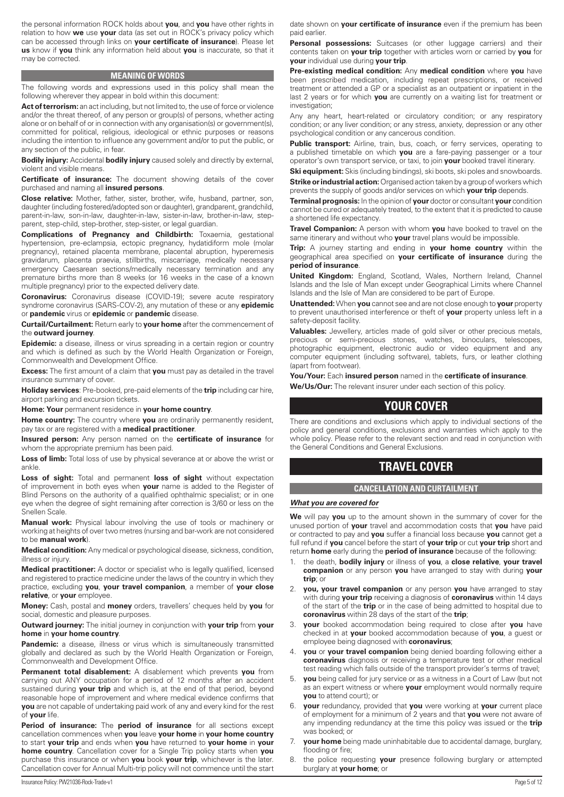<span id="page-4-0"></span>the personal information ROCK holds about **you**, and **you** have other rights in relation to how **we** use **your** data (as set out in ROCK's privacy policy which can be accessed through links on **your certificate of insurance**). Please let **us** know if **you** think any information held about **you** is inaccurate, so that it may be corrected.

#### **MEANING OF WORDS**

The following words and expressions used in this policy shall mean the following wherever they appear in bold within this document:

Act of terrorism: an act including, but not limited to, the use of force or violence and/or the threat thereof, of any person or group(s) of persons, whether acting alone or on behalf of or in connection with any organisation(s) or government(s), committed for political, religious, ideological or ethnic purposes or reasons including the intention to influence any government and/or to put the public, or any section of the public, in fear.

**Bodily injury:** Accidental **bodily injury** caused solely and directly by external, violent and visible means.

**Certificate of insurance:** The document showing details of the cover purchased and naming all **insured persons**.

**Close relative:** Mother, father, sister, brother, wife, husband, partner, son, daughter (including fostered/adopted son or daughter), grandparent, grandchild, parent-in-law, son-in-law, daughter-in-law, sister-in-law, brother-in-law, stepparent, step-child, step-brother, step-sister, or legal guardian.

**Complications of Pregnancy and Childbirth:** Toxaemia, gestational hypertension, pre-eclampsia, ectopic pregnancy, hydatidiform mole (molar pregnancy), retained placenta membrane, placental abruption, hyperemesis gravidarum, placenta praevia, stillbirths, miscarriage, medically necessary emergency Caesarean sections/medically necessary termination and any premature births more than 8 weeks (or 16 weeks in the case of a known multiple pregnancy) prior to the expected delivery date.

**Coronavirus:** Coronavirus disease (COVID-19); severe acute respiratory syndrome coronavirus (SARS-COV-2), any mutation of these or any **epidemic** or **pandemic** virus or **epidemic** or **pandemic** disease.

**Curtail/Curtailment:** Return early to **your home** after the commencement of the **outward journey**.

**Epidemic:** a disease, illness or virus spreading in a certain region or country and which is defined as such by the World Health Organization or Foreign, Commonwealth and Development Office.

**Excess:** The first amount of a claim that **you** must pay as detailed in the travel insurance summary of cover.

**Holiday services**: Pre-booked, pre-paid elements of the **trip** including car hire, airport parking and excursion tickets.

**Home: Your** permanent residence in **your home country**.

**Home country:** The country where **you** are ordinarily permanently resident, pay tax or are registered with a **medical practitioner**.

**Insured person:** Any person named on the **certificate of insurance** for whom the appropriate premium has been paid.

Loss of limb: Total loss of use by physical severance at or above the wrist or ankle.

**Loss of sight:** Total and permanent **loss of sight** without expectation of improvement in both eyes when **your** name is added to the Register of Blind Persons on the authority of a qualified ophthalmic specialist; or in one eye when the degree of sight remaining after correction is 3/60 or less on the Snellen Scale.

**Manual work:** Physical labour involving the use of tools or machinery or working at heights of over two metres (nursing and bar-work are not considered to be **manual work**).

**Medical condition:** Any medical or psychological disease, sickness, condition, illness or injury.

**Medical practitioner:** A doctor or specialist who is legally qualified, licensed and registered to practice medicine under the laws of the country in which they practice, excluding **you**, **your travel companion**, a member of **your close relative**, or **your** employee.

**Money:** Cash, postal and **money** orders, travellers' cheques held by **you** for social, domestic and pleasure purposes.

**Outward journey:** The initial journey in conjunction with **your trip** from **your home** in **your home country**.

**Pandemic:** a disease, illness or virus which is simultaneously transmitted globally and declared as such by the World Health Organization or Foreign, Commonwealth and Development Office.

**Permanent total disablement:** A disablement which prevents **you** from carrying out ANY occupation for a period of 12 months after an accident sustained during **your trip** and which is, at the end of that period, beyond reasonable hope of improvement and where medical evidence confirms that **you** are not capable of undertaking paid work of any and every kind for the rest of **your** life.

**Period of insurance:** The **period of insurance** for all sections except cancellation commences when **you** leave **your home** in **your home country** to start **your trip** and ends when **you** have returned to **your home** in **your home country**. Cancellation cover for a Single Trip policy starts when **you** purchase this insurance or when **you** book **your trip**, whichever is the later. Cancellation cover for Annual Multi-trip policy will not commence until the start

date shown on **your certificate of insurance** even if the premium has been paid earlier.

Personal possessions: Suitcases (or other luggage carriers) and their contents taken on **your trip** together with articles worn or carried by **you** for **your** individual use during **your trip**.

**Pre-existing medical condition:** Any **medical condition** where **you** have been prescribed medication, including repeat prescriptions, or received treatment or attended a GP or a specialist as an outpatient or inpatient in the last 2 years or for which **you** are currently on a waiting list for treatment or investigation;

Any any heart, heart-related or circulatory condition; or any respiratory condition; or any liver condition; or any stress, anxiety, depression or any other psychological condition or any cancerous condition.

**Public transport:** Airline, train, bus, coach, or ferry services, operating to a published timetable on which **you** are a fare-paying passenger or a tour operator's own transport service, or taxi, to join **your** booked travel itinerary.

**Ski equipment:** Skis (including bindings), ski boots, ski poles and snowboards. **Strike or industrial action:** Organised action taken by a group of workers which

prevents the supply of goods and/or services on which **your trip** depends. **Terminal prognosis:** In the opinion of **your** doctor or consultant **your** condition cannot be cured or adequately treated, to the extent that it is predicted to cause a shortened life expectancy.

**Travel Companion:** A person with whom **you** have booked to travel on the same itinerary and without who **your** travel plans would be impossible.

**Trip:** A journey starting and ending in **your home country** within the geographical area specified on **your certificate of insurance** during the **period of insurance**.

**United Kingdom:** England, Scotland, Wales, Northern Ireland, Channel Islands and the Isle of Man except under Geographical Limits where Channel Islands and the Isle of Man are considered to be part of Europe.

**Unattended:** When **you** cannot see and are not close enough to **your** property to prevent unauthorised interference or theft of **your** property unless left in a safety-deposit facility.

**Valuables:** Jewellery, articles made of gold silver or other precious metals, precious or semi-precious stones, watches, binoculars, telescopes, photographic equipment, electronic audio or video equipment and any computer equipment (including software), tablets, furs, or leather clothing (apart from footwear).

**You/Your:** Each **insured person** named in the **certificate of insurance**.

**We/Us/Our:** The relevant insurer under each section of this policy.

# **YOUR COVER**

There are conditions and exclusions which apply to individual sections of the policy and general conditions, exclusions and warranties which apply to the whole policy. Please refer to the relevant section and read in conjunction with the General Conditions and General Exclusions.

# **TRAVEL COVER**

### **CANCELLATION AND CURTAILMENT**

#### *What you are covered for*

**We** will pay **you** up to the amount shown in the summary of cover for the unused portion of **your** travel and accommodation costs that **you** have paid or contracted to pay and **you** suffer a financial loss because **you** cannot get a full refund if **you** cancel before the start of **your trip** or cut **your trip** short and return **home** early during the **period of insurance** because of the following:

- 1. the death, **bodily injury** or illness of **you**, a **close relative**, **your travel companion** or any person **you** have arranged to stay with during **your trip**; or
- 2. **you, your travel companion** or any person **you** have arranged to stay with during **your trip** receiving a diagnosis of **coronavirus** within 14 days of the start of the **trip** or in the case of being admitted to hospital due to **coronavirus** within 28 days of the start of the **trip**;
- 3. **your** booked accommodation being required to close after **you** have checked in at **your** booked accommodation because of **you**, a guest or employee being diagnosed with **coronavirus**;
- 4. **you** or **your travel companion** being denied boarding following either a **coronavirus** diagnosis or receiving a temperature test or other medical test reading which falls outside of the transport provider's terms of travel;
- 5. **you** being called for jury service or as a witness in a Court of Law (but not as an expert witness or where **your** employment would normally require **you** to attend court); or
- 6. **your** redundancy, provided that **you** were working at **your** current place of employment for a minimum of 2 years and that **you** were not aware of any impending redundancy at the time this policy was issued or the **trip** was booked; or
- 7. **your home** being made uninhabitable due to accidental damage, burglary, flooding or fire;
- 8. the police requesting **your** presence following burglary or attempted burglary at **your home**; or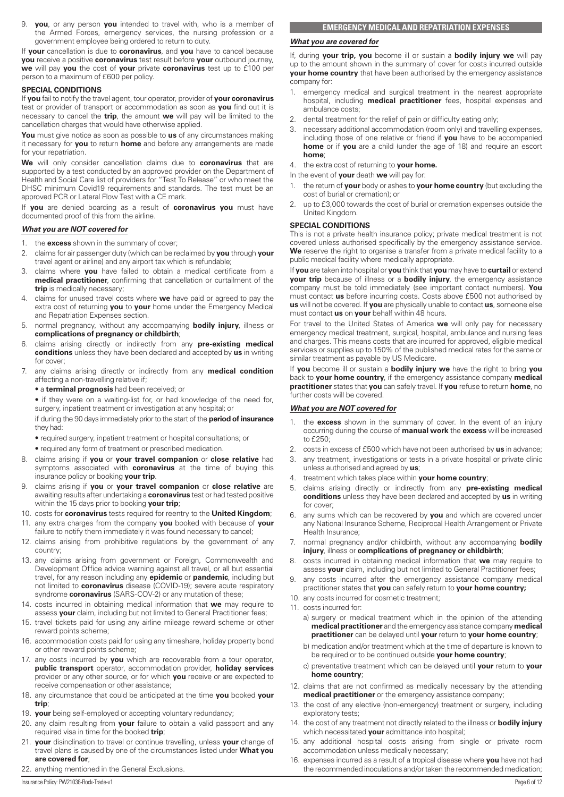<span id="page-5-0"></span>9. **you**, or any person **you** intended to travel with, who is a member of the Armed Forces, emergency services, the nursing profession or a government employee being ordered to return to duty.

If **your** cancellation is due to **coronavirus**, and **you** have to cancel because **you** receive a positive **coronavirus** test result before **your** outbound journey, **we** will pay **you** the cost of **your** private **coronavirus** test up to £100 per person to a maximum of £600 per policy.

#### **SPECIAL CONDITIONS**

If **you** fail to notify the travel agent, tour operator, provider of **your coronavirus** test or provider of transport or accommodation as soon as **you** find out it is necessary to cancel the **trip**, the amount **we** will pay will be limited to the cancellation charges that would have otherwise applied.

**You** must give notice as soon as possible to **us** of any circumstances making it necessary for **you** to return **home** and before any arrangements are made for your repatriation.

**We** will only consider cancellation claims due to **coronavirus** that are supported by a test conducted by an approved provider on the Department of Health and Social Care list of providers for "Test To Release" or who meet the DHSC minimum Covid19 requirements and standards. The test must be an approved PCR or Lateral Flow Test with a CE mark.

If **you** are denied boarding as a result of **coronavirus you** must have documented proof of this from the airline.

# *What you are NOT covered for*

- 1. the **excess** shown in the summary of cover;
- 2. claims for air passenger duty (which can be reclaimed by **you** through **your** travel agent or airline) and any airport tax which is refundable;
- 3. claims where **you** have failed to obtain a medical certificate from a **medical practitioner**, confirming that cancellation or curtailment of the **trip** is medically necessary;
- 4. claims for unused travel costs where **we** have paid or agreed to pay the extra cost of returning **you** to **your** home under the Emergency Medical and Repatriation Expenses section.
- 5. normal pregnancy, without any accompanying **bodily injury**, illness or **complications of pregnancy or childbirth**;
- 6. claims arising directly or indirectly from any **pre-existing medical conditions** unless they have been declared and accepted by **us** in writing for cover;
- 7. any claims arising directly or indirectly from any **medical condition** affecting a non-travelling relative if;
	- a **terminal prognosis** had been received; or

• if they were on a waiting-list for, or had knowledge of the need for, surgery, inpatient treatment or investigation at any hospital; or

if during the 90 days immediately prior to the start of the **period of insurance** they had:

- required surgery, inpatient treatment or hospital consultations; or
- required any form of treatment or prescribed medication.
- 8. claims arising if **you** or **your travel companion** or **close relative** had symptoms associated with **coronavirus** at the time of buying this insurance policy or booking **your trip**.
- 9. claims arising if **you** or **your travel companion** or **close relative** are awaiting results after undertaking a **coronavirus** test or had tested positive within the 15 days prior to booking **your trip**;
- 10. costs for **coronavirus** tests required for reentry to the **United Kingdom**;
- 11. any extra charges from the company **you** booked with because of **your**
- failure to notify them immediately it was found necessary to cancel; 12. claims arising from prohibitive regulations by the government of any country;
- 13. any claims arising from government or Foreign, Commonwealth and Development Office advice warning against all travel, or all but essential travel, for any reason including any **epidemic** or **pandemic**, including but not limited to **coronavirus** disease (COVID-19); severe acute respiratory syndrome **coronavirus** (SARS-COV-2) or any mutation of these;
- 14. costs incurred in obtaining medical information that **we** may require to assess **your** claim, including but not limited to General Practitioner fees;
- 15. travel tickets paid for using any airline mileage reward scheme or other reward points scheme;
- 16. accommodation costs paid for using any timeshare, holiday property bond or other reward points scheme;
- 17. any costs incurred by **you** which are recoverable from a tour operator, **public transport** operator, accommodation provider, **holiday services** provider or any other source, or for which **you** receive or are expected to receive compensation or other assistance;
- 18. any circumstance that could be anticipated at the time **you** booked **your trip**;
- 19. **your** being self-employed or accepting voluntary redundancy;
- 20. any claim resulting from **your** failure to obtain a valid passport and any required visa in time for the booked **trip**;
- 21. **your** disinclination to travel or continue travelling, unless **your** change of travel plans is caused by one of the circumstances listed under **What you are covered for**;
- 22. anything mentioned in the General Exclusions.

## **EMERGENCY MEDICAL AND REPATRIATION EXPENSES**

## *What you are covered for*

If, during **your trip, you** become ill or sustain a **bodily injury we** will pay up to the amount shown in the summary of cover for costs incurred outside **your home country** that have been authorised by the emergency assistance company for:

- 1. emergency medical and surgical treatment in the nearest appropriate hospital, including **medical practitioner** fees, hospital expenses and ambulance costs;
- 2. dental treatment for the relief of pain or difficulty eating only;
- 3. necessary additional accommodation (room only) and travelling expenses, including those of one relative or friend if **you** have to be accompanied **home** or if **you** are a child (under the age of 18) and require an escort **home**;

4. the extra cost of returning to **your home.**

In the event of **your** death **we** will pay for:

- 1. the return of **your** body or ashes to **your home country** (but excluding the cost of burial or cremation); or
- 2. up to £3,000 towards the cost of burial or cremation expenses outside the United Kingdom.

#### **SPECIAL CONDITIONS**

This is not a private health insurance policy; private medical treatment is not covered unless authorised specifically by the emergency assistance service. **We** reserve the right to organise a transfer from a private medical facility to a public medical facility where medically appropriate.

If **you** are taken into hospital or **you** think that **you** may have to **curtail** or extend **your trip** because of illness or a **bodily injury**, the emergency assistance company must be told immediately (see important contact numbers). **You** must contact **us** before incurring costs. Costs above £500 not authorised by **us** will not be covered. If **you** are physically unable to contact **us**, someone else must contact **us** on **your** behalf within 48 hours.

For travel to the United States of America **we** will only pay for necessary emergency medical treatment, surgical, hospital, ambulance and nursing fees and charges. This means costs that are incurred for approved, eligible medical services or supplies up to 150% of the published medical rates for the same or similar treatment as payable by US Medicare.

If **you** become ill or sustain a **bodily injury we** have the right to bring **you** back to **your home country**, if the emergency assistance company **medical practitioner** states that **you** can safely travel. If **you** refuse to return **home**, no further costs will be covered.

#### *What you are NOT covered for*

- 1. the **excess** shown in the summary of cover. In the event of an injury occurring during the course of **manual work** the **excess** will be increased to £250;
- 2. costs in excess of £500 which have not been authorised by **us** in advance;
- 3. any treatment, investigations or tests in a private hospital or private clinic unless authorised and agreed by **us**;
- 4. treatment which takes place within **your home country**;
- 5. claims arising directly or indirectly from any **pre-existing medical conditions** unless they have been declared and accepted by **us** in writing for cover;
- 6. any sums which can be recovered by **you** and which are covered under any National Insurance Scheme, Reciprocal Health Arrangement or Private Health Insurance;
- 7. normal pregnancy and/or childbirth, without any accompanying **bodily injury**, illness or **complications of pregnancy or childbirth**;
- 8. costs incurred in obtaining medical information that **we** may require to assess **your** claim, including but not limited to General Practitioner fees;
- any costs incurred after the emergency assistance company medical practitioner states that **you** can safely return to **your home country;**
- 10. any costs incurred for cosmetic treatment;
- 11. costs incurred for:
	- a) surgery or medical treatment which in the opinion of the attending **medical practitioner** and the emergency assistance company **medical practitioner** can be delayed until **your** return to **your home country**;
	- b) medication and/or treatment which at the time of departure is known to be required or to be continued outside **your home country**;
	- c) preventative treatment which can be delayed until **your** return to **your home country**;
- 12. claims that are not confirmed as medically necessary by the attending **medical practitioner** or the emergency assistance company:
- 13. the cost of any elective (non-emergency) treatment or surgery, including exploratory tests;
- 14. the cost of any treatment not directly related to the illness or **bodily injury**  which necessitated **your** admittance into hospital;
- 15. any additional hospital costs arising from single or private room accommodation unless medically necessary;
- 16. expenses incurred as a result of a tropical disease where **you** have not had the recommended inoculations and/or taken the recommended medication;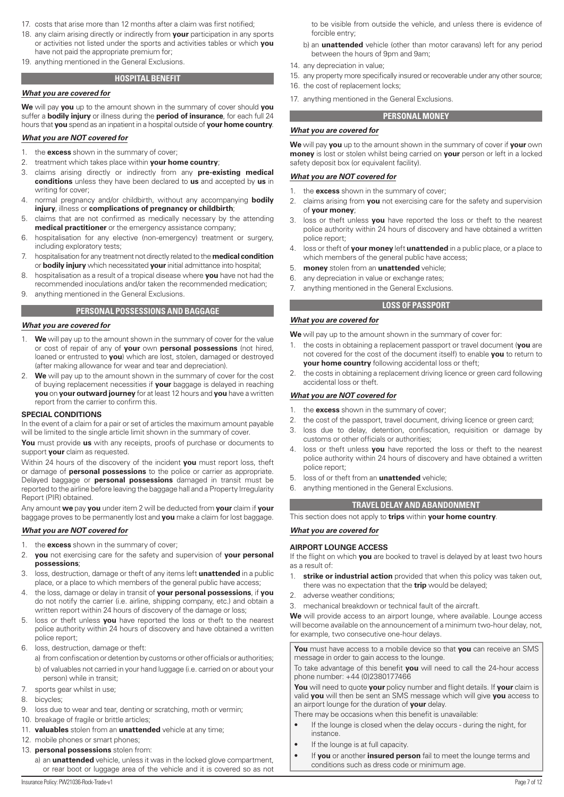- <span id="page-6-0"></span>17. costs that arise more than 12 months after a claim was first notified;
- 18. any claim arising directly or indirectly from **your** participation in any sports or activities not listed under the sports and activities tables or which **you** have not paid the appropriate premium for;
- 19. anything mentioned in the General Exclusions.

# **HOSPITAL BENEFIT**

#### *What you are covered for*

**We** will pay **you** up to the amount shown in the summary of cover should **you** suffer a **bodily injury** or illness during the **period of insurance**, for each full 24 hours that **you** spend as an inpatient in a hospital outside of **your home country**.

#### *What you are NOT covered for*

- 1. the **excess** shown in the summary of cover;
- 2. treatment which takes place within **your home country**;
- 3. claims arising directly or indirectly from any **pre-existing medical conditions** unless they have been declared to **us** and accepted by **us** in writing for cover;
- 4. normal pregnancy and/or childbirth, without any accompanying **bodily injury**, illness or **complications of pregnancy or childbirth**;
- 5. claims that are not confirmed as medically necessary by the attending **medical practitioner** or the emergency assistance company;
- 6. hospitalisation for any elective (non-emergency) treatment or surgery, including exploratory tests;
- 7. hospitalisation for any treatment not directly related to the **medical condition** or **bodily injury** which necessitated **your** initial admittance into hospital;
- 8. hospitalisation as a result of a tropical disease where **you** have not had the recommended inoculations and/or taken the recommended medication;
- 9. anything mentioned in the General Exclusions.

#### **PERSONAL POSSESSIONS AND BAGGAGE**

# *What you are covered for*

- 1. **We** will pay up to the amount shown in the summary of cover for the value or cost of repair of any of **your** own **personal possessions** (not hired, loaned or entrusted to **you**) which are lost, stolen, damaged or destroyed (after making allowance for wear and tear and depreciation).
- 2. **We** will pay up to the amount shown in the summary of cover for the cost of buying replacement necessities if **your** baggage is delayed in reaching **you** on **your outward journey** for at least 12 hours and **you** have a written report from the carrier to confirm this.

#### **SPECIAL CONDITIONS**

In the event of a claim for a pair or set of articles the maximum amount payable will be limited to the single article limit shown in the summary of cover.

**You** must provide **us** with any receipts, proofs of purchase or documents to support **your** claim as requested.

Within 24 hours of the discovery of the incident **you** must report loss, theft or damage of **personal possessions** to the police or carrier as appropriate. Delayed baggage or **personal possessions** damaged in transit must be reported to the airline before leaving the baggage hall and a Property Irregularity Report (PIR) obtained.

Any amount **we** pay **you** under item 2 will be deducted from **your** claim if **your** baggage proves to be permanently lost and **you** make a claim for lost baggage.

#### *What you are NOT covered for*

- 1. the **excess** shown in the summary of cover;
- 2. **you** not exercising care for the safety and supervision of **your personal possessions**;
- 3. loss, destruction, damage or theft of any items left **unattended** in a public place, or a place to which members of the general public have access;
- 4. the loss, damage or delay in transit of **your personal possessions**, if **you** do not notify the carrier (i.e. airline, shipping company, etc.) and obtain a written report within 24 hours of discovery of the damage or loss;
- 5. loss or theft unless **you** have reported the loss or theft to the nearest police authority within 24 hours of discovery and have obtained a written police report;
- 6. loss, destruction, damage or theft:
- a) from confiscation or detention by customs or other officials or authorities; b) of valuables not carried in your hand luggage (i.e. carried on or about your person) while in transit;
- 7. sports gear whilst in use;
- 8. bicycles;
- 9. loss due to wear and tear, denting or scratching, moth or vermin;
- 10. breakage of fragile or brittle articles;
- 11. **valuables** stolen from an **unattended** vehicle at any time;
- 12. mobile phones or smart phones;
- 13. **personal possessions** stolen from:
	- a) an **unattended** vehicle, unless it was in the locked glove compartment, or rear boot or luggage area of the vehicle and it is covered so as not

to be visible from outside the vehicle, and unless there is evidence of forcible entry;

- b) an **unattended** vehicle (other than motor caravans) left for any period between the hours of 9pm and 9am;
- 14. any depreciation in value;
- 15. any property more specifically insured or recoverable under any other source;
- 16. the cost of replacement locks;
- 17. anything mentioned in the General Exclusions.

# **PERSONAL MONEY**

## *What you are covered for*

**We** will pay **you** up to the amount shown in the summary of cover if **your** own **money** is lost or stolen whilst being carried on **your** person or left in a locked safety deposit box (or equivalent facility).

#### *What you are NOT covered for*

- 1. the **excess** shown in the summary of cover;
- 2. claims arising from **you** not exercising care for the safety and supervision of **your money**;
- 3. loss or theft unless **you** have reported the loss or theft to the nearest police authority within 24 hours of discovery and have obtained a written police report;
- 4. loss or theft of **your money** left **unattended** in a public place, or a place to which members of the general public have access;
- 5. **money** stolen from an **unattended** vehicle;
- 6. any depreciation in value or exchange rates;
- 7. anything mentioned in the General Exclusions.

# **LOSS OF PASSPORT**

**We** will pay up to the amount shown in the summary of cover for:

- 1. the costs in obtaining a replacement passport or travel document (**you** are not covered for the cost of the document itself) to enable **you** to return to **your home country** following accidental loss or theft;
- 2. the costs in obtaining a replacement driving licence or green card following accidental loss or theft.

### *What you are NOT covered for*

*What you are covered for*

- 1. the **excess** shown in the summary of cover;
- 2. the cost of the passport, travel document, driving licence or green card;
- 3. loss due to delay, detention, confiscation, requisition or damage by customs or other officials or authorities;
- 4. loss or theft unless **you** have reported the loss or theft to the nearest police authority within 24 hours of discovery and have obtained a written police report;
- 5. loss of or theft from an **unattended** vehicle;
- 6. anything mentioned in the General Exclusions.

# **TRAVEL DELAY AND ABANDONMENT**

This section does not apply to **trips** within **your home country**.

#### *What you are covered for*

#### **AIRPORT LOUNGE ACCESS**

If the flight on which **you** are booked to travel is delayed by at least two hours as a result of:

- 1. **strike or industrial action** provided that when this policy was taken out, there was no expectation that the **trip** would be delayed;
- 2. adverse weather conditions;
- 3. mechanical breakdown or technical fault of the aircraft.

**We** will provide access to an airport lounge, where available. Lounge access will become available on the announcement of a minimum two-hour delay, not, for example, two consecutive one-hour delays.

**You** must have access to a mobile device so that **you** can receive an SMS message in order to gain access to the lounge.

To take advantage of this benefit **you** will need to call the 24-hour access phone number: +44 (0)2380177466

**You** will need to quote **your** policy number and flight details. If **your** claim is valid **you** will then be sent an SMS message which will give **you** access to an airport lounge for the duration of **your** delay.

There may be occasions when this benefit is unavailable:

- If the lounge is closed when the delay occurs during the night, for instance.
- If the lounge is at full capacity.
- If **you** or another **insured person** fail to meet the lounge terms and conditions such as dress code or minimum age.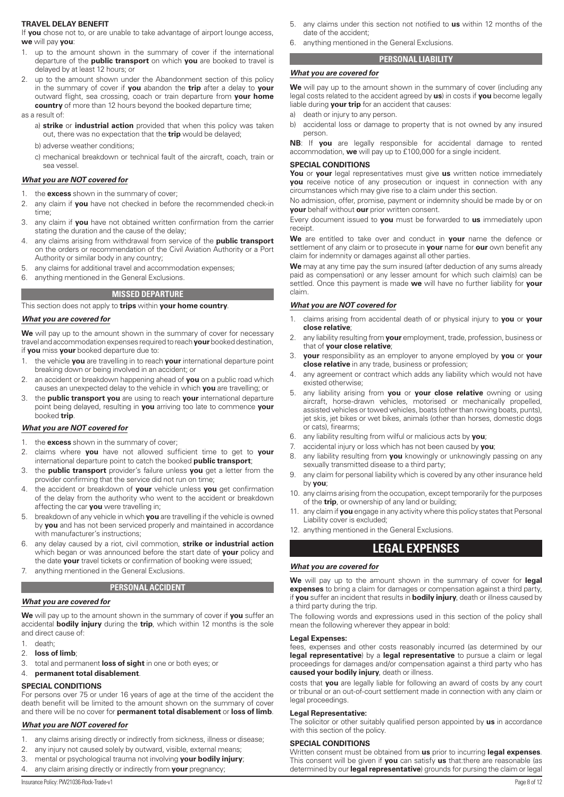#### <span id="page-7-0"></span>**TRAVEL DELAY BENEFIT**

If **you** chose not to, or are unable to take advantage of airport lounge access, **we** will pay **you**:

- 1. up to the amount shown in the summary of cover if the international departure of the **public transport** on which **you** are booked to travel is delayed by at least 12 hours; or
- up to the amount shown under the Abandonment section of this policy in the summary of cover if **you** abandon the **trip** after a delay to **your** outward flight, sea crossing, coach or train departure from **your home country** of more than 12 hours beyond the booked departure time;

as a result of:

- a) **strike** or **industrial action** provided that when this policy was taken out, there was no expectation that the **trip** would be delayed;
- b) adverse weather conditions;
- c) mechanical breakdown or technical fault of the aircraft, coach, train or sea vessel.

#### *What you are NOT covered for*

- 1. the **excess** shown in the summary of cover;
- 2. any claim if **you** have not checked in before the recommended check-in time;
- 3. any claim if **you** have not obtained written confirmation from the carrier stating the duration and the cause of the delay;
- 4. any claims arising from withdrawal from service of the **public transport**  on the orders or recommendation of the Civil Aviation Authority or a Port Authority or similar body in any country;
- 5. any claims for additional travel and accommodation expenses;
- 6. anything mentioned in the General Exclusions.

# **MISSED DEPARTURE**

This section does not apply to **trips** within **your home country**.

#### *What you are covered for*

**We** will pay up to the amount shown in the summary of cover for necessary travel and accommodation expenses required to reach **your** booked destination, if **you** miss **your** booked departure due to:

- 1. the vehicle **you** are travelling in to reach **your** international departure point breaking down or being involved in an accident; or
- 2. an accident or breakdown happening ahead of **you** on a public road which causes an unexpected delay to the vehicle in which **you** are travelling; or
- 3. the **public transport you** are using to reach **your** international departure point being delayed, resulting in **you** arriving too late to commence **your** booked **trip**.

#### *What you are NOT covered for*

- 1. the **excess** shown in the summary of cover;
- 2. claims where **you** have not allowed sufficient time to get to **your** international departure point to catch the booked **public transport**;
- 3. the **public transport** provider's failure unless **you** get a letter from the provider confirming that the service did not run on time;
- 4. the accident or breakdown of **your** vehicle unless **you** get confirmation of the delay from the authority who went to the accident or breakdown affecting the car **you** were travelling in;
- 5. breakdown of any vehicle in which **you** are travelling if the vehicle is owned by **you** and has not been serviced properly and maintained in accordance with manufacturer's instructions;
- 6. any delay caused by a riot, civil commotion, **strike or industrial action** which began or was announced before the start date of **your** policy and the date **your** travel tickets or confirmation of booking were issued;
- 7. anything mentioned in the General Exclusions.

#### **PERSONAL ACCIDENT**

#### *What you are covered for*

**We** will pay up to the amount shown in the summary of cover if **you** suffer an accidental **bodily injury** during the **trip**, which within 12 months is the sole and direct cause of:

1. death;

- 2. **loss of limb**;
- 3. total and permanent **loss of sight** in one or both eyes; or

#### 4. **permanent total disablement**.

#### **SPECIAL CONDITIONS**

For persons over 75 or under 16 years of age at the time of the accident the death benefit will be limited to the amount shown on the summary of cover and there will be no cover for **permanent total disablement** or **loss of limb**.

#### *What you are NOT covered for*

- 1. any claims arising directly or indirectly from sickness, illness or disease;
- 2. any injury not caused solely by outward, visible, external means;
- 3. mental or psychological trauma not involving **your bodily injury**;
- 4. any claim arising directly or indirectly from **your** pregnancy;

6. anything mentioned in the General Exclusions.

# **PERSONAL LIABILITY**

#### *What you are covered for*

**We** will pay up to the amount shown in the summary of cover (including any legal costs related to the accident agreed by **us**) in costs if **you** become legally liable during **your trip** for an accident that causes:

- a) death or injury to any person.
- b) accidental loss or damage to property that is not owned by any insured person.

**NB**: If **you** are legally responsible for accidental damage to rented accommodation, **we** will pay up to £100,000 for a single incident.

#### **SPECIAL CONDITIONS**

**You** or **your** legal representatives must give **us** written notice immediately **you** receive notice of any prosecution or inquest in connection with any circumstances which may give rise to a claim under this section.

No admission, offer, promise, payment or indemnity should be made by or on **your** behalf without **our** prior written consent.

Every document issued to **you** must be forwarded to **us** immediately upon receipt.

**We** are entitled to take over and conduct in **your** name the defence or settlement of any claim or to prosecute in **your** name for **our** own benefit any claim for indemnity or damages against all other parties.

**We** may at any time pay the sum insured (after deduction of any sums already paid as compensation) or any lesser amount for which such claim(s) can be settled. Once this payment is made **we** will have no further liability for **your** claim.

## *What you are NOT covered for*

- 1. claims arising from accidental death of or physical injury to **you** or **your close relative**;
- 2. any liability resulting from **your** employment, trade, profession, business or that of **your close relative**;
- 3. **your** responsibility as an employer to anyone employed by **you** or **your close relative** in any trade, business or profession;
- 4. any agreement or contract which adds any liability which would not have existed otherwise;
- 5. any liability arising from **you** or **your close relative** owning or using aircraft, horse-drawn vehicles, motorised or mechanically propelled, assisted vehicles or towed vehicles, boats (other than rowing boats, punts), jet skis, jet bikes or wet bikes, animals (other than horses, domestic dogs or cats), firearms;
- 6. any liability resulting from wilful or malicious acts by **you**;
- 7. accidental injury or loss which has not been caused by **you**;
- 8. any liability resulting from **you** knowingly or unknowingly passing on any sexually transmitted disease to a third party;
- 9. any claim for personal liability which is covered by any other insurance held by **you**;
- 10. any claims arising from the occupation, except temporarily for the purposes of the **trip**, or ownership of any land or building;
- 11. any claim if **you** engage in any activity where this policy states that Personal Liability cover is excluded;
- 12. anything mentioned in the General Exclusions.

# **LEGAL EXPENSES**

#### *What you are covered for*

**We** will pay up to the amount shown in the summary of cover for **legal expenses** to bring a claim for damages or compensation against a third party, if **you** suffer an incident that results in **bodily injury**, death or illness caused by a third party during the trip.

The following words and expressions used in this section of the policy shall mean the following wherever they appear in bold:

#### **Legal Expenses:**

fees, expenses and other costs reasonably incurred (as determined by our **legal representative**) by a **legal representative** to pursue a claim or legal proceedings for damages and/or compensation against a third party who has **caused your bodily injury**, death or illness.

costs that **you** are legally liable for following an award of costs by any court or tribunal or an out-of-court settlement made in connection with any claim or legal proceedings.

#### **Legal Representative:**

The solicitor or other suitably qualified person appointed by **us** in accordance with this section of the policy.

# **SPECIAL CONDITIONS**

Written consent must be obtained from **us** prior to incurring **legal expenses**. This consent will be given if **you** can satisfy **us** that:there are reasonable (as determined by our **legal representative**) grounds for pursing the claim or legal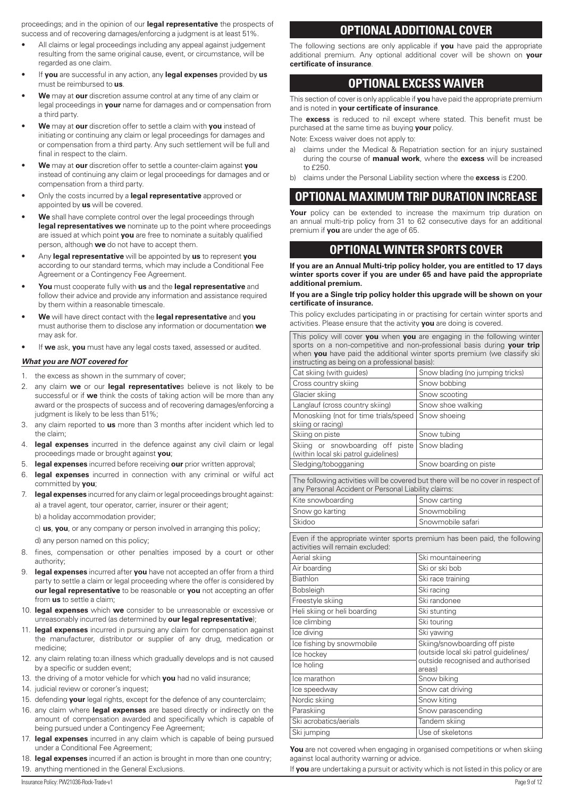<span id="page-8-0"></span>proceedings; and in the opinion of our **legal representative** the prospects of success and of recovering damages/enforcing a judgment is at least 51%.

- All claims or legal proceedings including any appeal against judgement resulting from the same original cause, event, or circumstance, will be regarded as one claim.
- If **you** are successful in any action, any **legal expenses** provided by **us** must be reimbursed to **us**.
- **We** may at **our** discretion assume control at any time of any claim or legal proceedings in **your** name for damages and or compensation from a third party.
- **We** may at **our** discretion offer to settle a claim with **you** instead of initiating or continuing any claim or legal proceedings for damages and or compensation from a third party. Any such settlement will be full and final in respect to the claim.
- **We** may at **our** discretion offer to settle a counter-claim against **you** instead of continuing any claim or legal proceedings for damages and or compensation from a third party.
- Only the costs incurred by a **legal representative** approved or appointed by **us** will be covered.
- We shall have complete control over the legal proceedings through **legal representatives we** nominate up to the point where proceedings are issued at which point **you** are free to nominate a suitably qualified person, although **we** do not have to accept them.
- Any **legal representative** will be appointed by **us** to represent **you** according to our standard terms, which may include a Conditional Fee Agreement or a Contingency Fee Agreement.
- **You** must cooperate fully with **us** and the **legal representative** and follow their advice and provide any information and assistance required by them within a reasonable timescale.
- **We** will have direct contact with the **legal representative** and **you** must authorise them to disclose any information or documentation **we** may ask for.
- If **we** ask, **you** must have any legal costs taxed, assessed or audited.

#### *What you are NOT covered for*

- 1. the excess as shown in the summary of cover;
- 2. any claim **we** or our **legal representative**s believe is not likely to be successful or if **we** think the costs of taking action will be more than any award or the prospects of success and of recovering damages/enforcing a judgment is likely to be less than 51%;
- 3. any claim reported to **us** more than 3 months after incident which led to the claim;
- 4. **legal expenses** incurred in the defence against any civil claim or legal proceedings made or brought against **you**;
- 5. **legal expenses** incurred before receiving **our** prior written approval;
- 6. **legal expenses** incurred in connection with any criminal or wilful act committed by **you**;
- 7. **legal expenses** incurred for any claim or legal proceedings brought against: a) a travel agent, tour operator, carrier, insurer or their agent;
	- b) a holiday accommodation provider;

c) **us**, **you**, or any company or person involved in arranging this policy;

d) any person named on this policy;

- 8. fines, compensation or other penalties imposed by a court or other authority;
- 9. **legal expenses** incurred after **you** have not accepted an offer from a third party to settle a claim or legal proceeding where the offer is considered by **our legal representative** to be reasonable or **you** not accepting an offer from **us** to settle a claim;
- 10. **legal expenses** which **we** consider to be unreasonable or excessive or unreasonably incurred (as determined by **our legal representative**);
- 11. **legal expenses** incurred in pursuing any claim for compensation against the manufacturer, distributor or supplier of any drug, medication or medicine;
- 12. any claim relating to:an illness which gradually develops and is not caused by a specific or sudden event;
- 13. the driving of a motor vehicle for which **you** had no valid insurance;
- 14. judicial review or coroner's inquest:
- 15. defending **your** legal rights, except for the defence of any counterclaim;
- 16. any claim where **legal expenses** are based directly or indirectly on the amount of compensation awarded and specifically which is capable of being pursued under a Contingency Fee Agreement;
- 17. **legal expenses** incurred in any claim which is capable of being pursued under a Conditional Fee Agreement;
- 18. **legal expenses** incurred if an action is brought in more than one country; 19. anything mentioned in the General Exclusions.

# **OPTIONAL ADDITIONAL COVER**

The following sections are only applicable if **you** have paid the appropriate additional premium. Any optional additional cover will be shown on **your certificate of insurance**.

# **OPTIONAL EXCESS WAIVER**

This section of cover is only applicable if **you** have paid the appropriate premium and is noted in **your certificate of insurance**.

The **excess** is reduced to nil except where stated. This benefit must be purchased at the same time as buying **your** policy.

Note: Excess waiver does not apply to:

- a) claims under the Medical & Repatriation section for an injury sustained during the course of **manual work**, where the **excess** will be increased to £250.
- b) claims under the Personal Liability section where the **excess** is £200.

# **OPTIONAL MAXIMUM TRIP DURATION INCREASE**

Your policy can be extended to increase the maximum trip duration on an annual multi-trip policy from 31 to 62 consecutive days for an additional premium if **you** are under the age of 65.

# **OPTIONAL WINTER SPORTS COVER**

**If you are an Annual Multi-trip policy holder, you are entitled to 17 days winter sports cover if you are under 65 and have paid the appropriate additional premium.**

#### **If you are a Single trip policy holder this upgrade will be shown on your certificate of insurance.**

This policy excludes participating in or practising for certain winter sports and activities. Please ensure that the activity **you** are doing is covered.

This policy will cover **you** when **you** are engaging in the following winter sports on a non-competitive and non-professional basis during **your trip** when **you** have paid the additional winter sports premium (we classify ski instructing as being on a professional basis): Cat skiing (with guides) Snow blading (no jumping tricks)

| <u>Uat Jismiy (With galacy)</u>                                                                                | onow bidding the jamping theiro                                                   |  |  |  |
|----------------------------------------------------------------------------------------------------------------|-----------------------------------------------------------------------------------|--|--|--|
| Cross country skiing                                                                                           | Snow bobbing                                                                      |  |  |  |
| Glacier skiing                                                                                                 | Snow scooting                                                                     |  |  |  |
| Langlauf (cross country skiing)                                                                                | Snow shoe walking                                                                 |  |  |  |
| Monoskiing (not for time trials/speed<br>skiing or racing)                                                     | Snow shoeing                                                                      |  |  |  |
| Skiing on piste                                                                                                | Snow tubing                                                                       |  |  |  |
| Skiing or snowboarding off piste<br>(within local ski patrol guidelines)                                       | Snow blading                                                                      |  |  |  |
| Sledging/tobogganing                                                                                           | Snow boarding on piste                                                            |  |  |  |
| any Personal Accident or Personal Liability claims:                                                            | The following activities will be covered but there will be no cover in respect of |  |  |  |
| Kite snowboarding                                                                                              | Snow carting                                                                      |  |  |  |
| Snow go karting                                                                                                | Snowmobiling                                                                      |  |  |  |
| Skidoo                                                                                                         | Snowmobile safari                                                                 |  |  |  |
| Even if the appropriate winter sports premium has been paid, the following<br>activities will remain excluded: |                                                                                   |  |  |  |
| Aerial skiing                                                                                                  | Ski mountaineering                                                                |  |  |  |
| Air boarding                                                                                                   | Ski or ski bob                                                                    |  |  |  |
| Biathlon                                                                                                       | Ski race training                                                                 |  |  |  |
| <b>Bobsleigh</b>                                                                                               | Ski racing                                                                        |  |  |  |
| Freestyle skiing                                                                                               | Ski randonee                                                                      |  |  |  |
| Heli skiing or heli boarding                                                                                   | Ski stunting                                                                      |  |  |  |
| Ice climbina                                                                                                   | Ski touring                                                                       |  |  |  |
| Ice diving                                                                                                     | Ski yawing                                                                        |  |  |  |
| Ice fishing by snowmobile                                                                                      | Skiing/snowboarding off piste                                                     |  |  |  |
| Ice hockey                                                                                                     | (outside local ski patrol quidelines/<br>outside recognised and authorised        |  |  |  |
| Ice holing                                                                                                     | areas)                                                                            |  |  |  |
| Ice marathon                                                                                                   | Snow biking                                                                       |  |  |  |
| Ice speedway                                                                                                   | Snow cat driving                                                                  |  |  |  |
| Nordic skiing                                                                                                  | Snow kiting                                                                       |  |  |  |
| Paraskiing                                                                                                     | Snow parascending                                                                 |  |  |  |
| Ski acrobatics/aerials                                                                                         | Tandem skiing                                                                     |  |  |  |
| Ski jumping                                                                                                    | Use of skeletons                                                                  |  |  |  |

You are not covered when engaging in organised competitions or when skiing against local authority warning or advice.

If **you** are undertaking a pursuit or activity which is not listed in this policy or are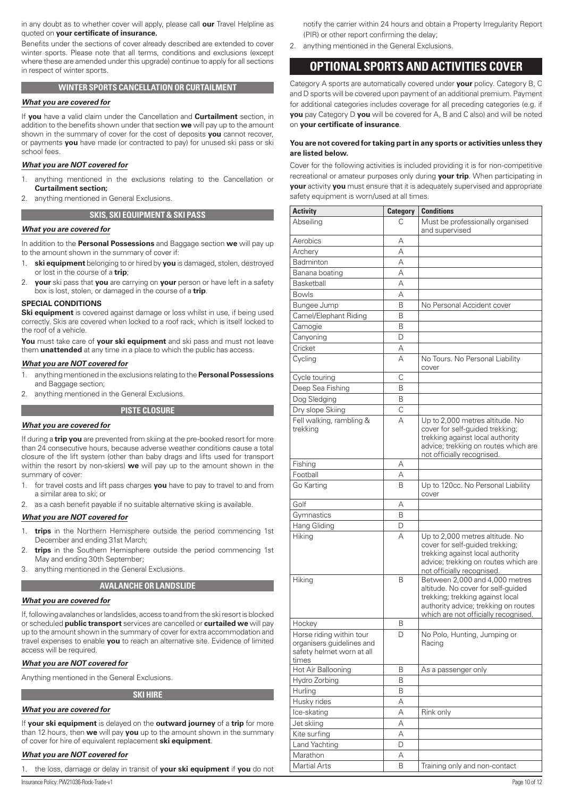<span id="page-9-0"></span>in any doubt as to whether cover will apply, please call **our** Travel Helpline as quoted on **your certificate of insurance.**

Benefits under the sections of cover already described are extended to cover winter sports. Please note that all terms, conditions and exclusions (except where these are amended under this upgrade) continue to apply for all sections in respect of winter sports.

# **WINTER SPORTS CANCELLATION OR CURTAILMENT**

#### *What you are covered for*

If **you** have a valid claim under the Cancellation and **Curtailment** section, in addition to the benefits shown under that section **we** will pay up to the amount shown in the summary of cover for the cost of deposits **you** cannot recover, or payments **you** have made (or contracted to pay) for unused ski pass or ski school fees.

# *What you are NOT covered for*

- 1. anything mentioned in the exclusions relating to the Cancellation or **Curtailment section;**
- 2. anything mentioned in General Exclusions.

# **SKIS, SKI EQUIPMENT & SKI PASS**

# *What you are covered for*

In addition to the **Personal Possessions** and Baggage section **we** will pay up to the amount shown in the summary of cover if:

- 1. **ski equipment** belonging to or hired by **you** is damaged, stolen, destroyed or lost in the course of a **trip**;
- 2. **your** ski pass that **you** are carrying on **your** person or have left in a safety box is lost, stolen, or damaged in the course of a **trip**.

#### **SPECIAL CONDITIONS**

**Ski equipment** is covered against damage or loss whilst in use, if being used correctly. Skis are covered when locked to a roof rack, which is itself locked to the roof of a vehicle.

**You** must take care of **your ski equipment** and ski pass and must not leave them **unattended** at any time in a place to which the public has access.

#### *What you are NOT covered for*

- 1. anything mentioned in the exclusions relating to the **Personal Possessions**  and Baggage section;
- 2. anything mentioned in the General Exclusions.

#### **PISTE CLOSURE**

#### *What you are covered for*

If during a **trip you** are prevented from skiing at the pre-booked resort for more than 24 consecutive hours, because adverse weather conditions cause a total closure of the lift system (other than baby drags and lifts used for transport within the resort by non-skiers) **we** will pay up to the amount shown in the summary of cover:

- 1. for travel costs and lift pass charges **you** have to pay to travel to and from a similar area to ski; or
- 2. as a cash benefit payable if no suitable alternative skiing is available.

## *What you are NOT covered for*

- 1. **trips** in the Northern Hemisphere outside the period commencing 1st December and ending 31st March;
- 2. **trips** in the Southern Hemisphere outside the period commencing 1st May and ending 30th September;
- 3. anything mentioned in the General Exclusions.

# **AVALANCHE OR LANDSLIDE**

#### *What you are covered for*

If, following avalanches or landslides, access to and from the ski resort is blocked or scheduled **public transport** services are cancelled or **curtailed we** will pay up to the amount shown in the summary of cover for extra accommodation and travel expenses to enable **you** to reach an alternative site. Evidence of limited access will be required.

#### *What you are NOT covered for*

Anything mentioned in the General Exclusions.

# *What you are covered for*

If **your ski equipment** is delayed on the **outward journey** of a **trip** for more than 12 hours, then **we** will pay **you** up to the amount shown in the summary of cover for hire of equivalent replacement **ski equipment**.

**SKI HIRE**

# *What you are NOT covered for*

1. the loss, damage or delay in transit of **your ski equipment** if **you** do not

Insurance Policy: PW21036-Rock-Trade-v1 Page 10 of 12

notify the carrier within 24 hours and obtain a Property Irregularity Report (PIR) or other report confirming the delay;

2. anything mentioned in the General Exclusions.

# **OPTIONAL SPORTS AND ACTIVITIES COVER**

Category A sports are automatically covered under **your** policy. Category B, C and D sports will be covered upon payment of an additional premium. Payment for additional categories includes coverage for all preceding categories (e.g. if **you** pay Category D **you** will be covered for A, B and C also) and will be noted on **your certificate of insurance**.

## **You are not covered for taking part in any sports or activities unless they are listed below.**

Cover for the following activities is included providing it is for non-competitive recreational or amateur purposes only during **your trip**. When participating in **your** activity **you** must ensure that it is adequately supervised and appropriate safety equipment is worn/used at all times.

| <b>Activity</b>                                                                             | <b>Category</b> | <b>Conditions</b>                                                                                                                                                                        |
|---------------------------------------------------------------------------------------------|-----------------|------------------------------------------------------------------------------------------------------------------------------------------------------------------------------------------|
| Abseiling                                                                                   | С               | Must be professionally organised<br>and supervised                                                                                                                                       |
| Aerobics                                                                                    | А               |                                                                                                                                                                                          |
| Archery                                                                                     | А               |                                                                                                                                                                                          |
| Badminton                                                                                   | А               |                                                                                                                                                                                          |
| Banana boating                                                                              | А               |                                                                                                                                                                                          |
| Basketball                                                                                  | А               |                                                                                                                                                                                          |
| <b>Bowls</b>                                                                                | А               |                                                                                                                                                                                          |
| Bungee Jump                                                                                 | B               | No Personal Accident cover                                                                                                                                                               |
| Camel/Elephant Riding                                                                       | Β               |                                                                                                                                                                                          |
| Camogie                                                                                     | Β               |                                                                                                                                                                                          |
| Canyoning                                                                                   | D               |                                                                                                                                                                                          |
| Cricket                                                                                     | А               |                                                                                                                                                                                          |
| Cycling                                                                                     | А               | No Tours. No Personal Liability<br>cover                                                                                                                                                 |
| Cycle touring                                                                               | С               |                                                                                                                                                                                          |
| Deep Sea Fishing                                                                            | B               |                                                                                                                                                                                          |
| Dog Sledging                                                                                | B               |                                                                                                                                                                                          |
| Dry slope Skiing                                                                            | C               |                                                                                                                                                                                          |
| Fell walking, rambling &<br>trekking                                                        | А               | Up to 2,000 metres altitude. No<br>cover for self-guided trekking;<br>trekking against local authority<br>advice; trekking on routes which are<br>not officially recognised.             |
| Fishing                                                                                     | А               |                                                                                                                                                                                          |
| Football                                                                                    | А               |                                                                                                                                                                                          |
| Go Karting                                                                                  | B               | Up to 120cc. No Personal Liability<br>cover                                                                                                                                              |
| Golf                                                                                        | А               |                                                                                                                                                                                          |
| Gymnastics                                                                                  | B               |                                                                                                                                                                                          |
| Hang Gliding                                                                                | D               |                                                                                                                                                                                          |
| Hiking                                                                                      | А               | Up to 2,000 metres altitude. No<br>cover for self-guided trekking;<br>trekking against local authority<br>advice; trekking on routes which are<br>not officially recognised.             |
| Hiking                                                                                      | B               | Between 2,000 and 4,000 metres<br>altitude. No cover for self-quided<br>trekking; trekking against local<br>authority advice; trekking on routes<br>which are not officially recognised. |
| Hockey                                                                                      | В               |                                                                                                                                                                                          |
| Horse riding within tour<br>organisers guidelines and<br>safety helmet worn at all<br>times | D               | No Polo, Hunting, Jumping or<br>Racing                                                                                                                                                   |
| Hot Air Ballooning                                                                          | B               | As a passenger only                                                                                                                                                                      |
| Hydro Zorbing                                                                               | B               |                                                                                                                                                                                          |
| Hurling                                                                                     | B               |                                                                                                                                                                                          |
| Husky rides                                                                                 | А               |                                                                                                                                                                                          |
| Ice-skating                                                                                 | А               | Rink only                                                                                                                                                                                |
| Jet skiing                                                                                  | А               |                                                                                                                                                                                          |
| Kite surfing                                                                                | Α               |                                                                                                                                                                                          |
| Land Yachting                                                                               | D               |                                                                                                                                                                                          |
| Marathon                                                                                    | А               |                                                                                                                                                                                          |
| Martial Arts                                                                                | B               | Training only and non-contact                                                                                                                                                            |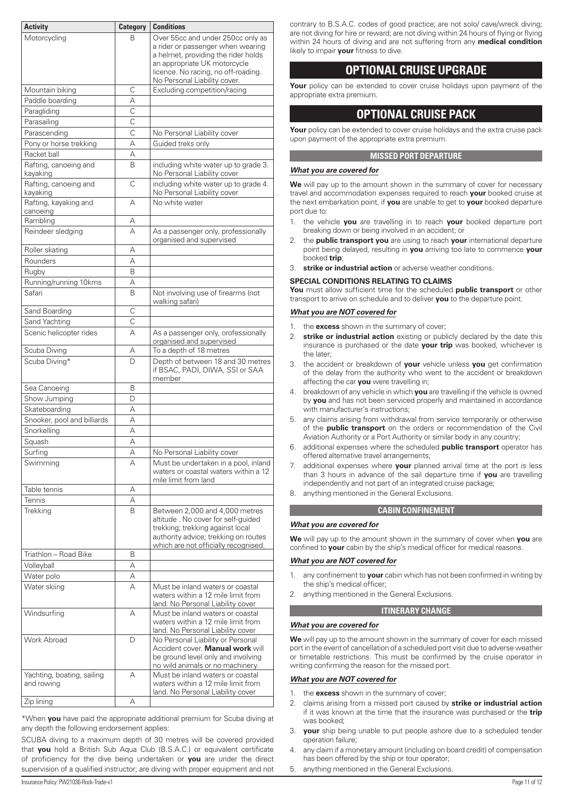<span id="page-10-0"></span>

| <b>Activity</b>                          | <b>Category</b> | <b>Conditions</b>                                                                                                                                                                                                    |
|------------------------------------------|-----------------|----------------------------------------------------------------------------------------------------------------------------------------------------------------------------------------------------------------------|
| Motorcycling                             | В               | Over 55cc and under 250cc only as<br>a rider or passenger when wearing<br>a helmet, providing the rider holds<br>an appropriate UK motorcycle<br>licence. No racing, no off-roading.<br>No Personal Liability cover. |
| Mountain biking                          | C               | Excluding competition/racing                                                                                                                                                                                         |
| Paddle boarding                          | А               |                                                                                                                                                                                                                      |
| Paragliding                              | C               |                                                                                                                                                                                                                      |
| Parasailing                              | $\mathsf{C}$    |                                                                                                                                                                                                                      |
| Parascending                             | $\mathsf{C}$    | No Personal Liability cover                                                                                                                                                                                          |
| Pony or horse trekking                   | А               | Guided treks only                                                                                                                                                                                                    |
| Racket ball                              | А               |                                                                                                                                                                                                                      |
| Rafting, canoeing and<br>kayaking        | B               | including white water up to grade 3.<br>No Personal Liability cover                                                                                                                                                  |
| Rafting, canoeing and<br>kayaking        | C               | including white water up to grade 4.<br>No Personal Liability cover                                                                                                                                                  |
| Rafting, kayaking and<br>canoeing        | А               | No white water                                                                                                                                                                                                       |
| Rambling                                 | А               |                                                                                                                                                                                                                      |
| Reindeer sledging                        | А               | As a passenger only, professionally<br>organised and supervised                                                                                                                                                      |
| Roller skating                           | А               |                                                                                                                                                                                                                      |
| Rounders                                 | А               |                                                                                                                                                                                                                      |
| Rugby                                    | B               |                                                                                                                                                                                                                      |
| Running/running 10kms                    | А               |                                                                                                                                                                                                                      |
| Safari                                   | B               | Not involving use of firearms (not<br>walking safari)                                                                                                                                                                |
| Sand Boarding                            | C               |                                                                                                                                                                                                                      |
| Sand Yachting                            | С               |                                                                                                                                                                                                                      |
| Scenic helicopter rides                  | А               | As a passenger only, orofessionally<br>organised and supervised                                                                                                                                                      |
| Scuba Diving                             | А               | To a depth of 18 metres                                                                                                                                                                                              |
| Scuba Diving*                            | D               | Depth of between 18 and 30 metres<br>if BSAC, PADI, DIWA, SSI or SAA<br>member                                                                                                                                       |
| Sea Canoeing                             | B               |                                                                                                                                                                                                                      |
| Show Jumping                             | D               |                                                                                                                                                                                                                      |
| Skateboarding                            | А               |                                                                                                                                                                                                                      |
| Snooker, pool and billiards              | А               |                                                                                                                                                                                                                      |
| Snorkelling                              | А               |                                                                                                                                                                                                                      |
| Squash                                   | А               |                                                                                                                                                                                                                      |
| Surfing                                  | Α               | No Personal Liability cover                                                                                                                                                                                          |
| Swimming                                 | А               | Must be undertaken in a pool, inland<br>waters or coastal waters within a 12<br>mile limit from land                                                                                                                 |
| Table tennis                             | Α               |                                                                                                                                                                                                                      |
| Tennis                                   | А               |                                                                                                                                                                                                                      |
| Trekking                                 | B               | Between 2,000 and 4,000 metres<br>altitude. No cover for self-guided<br>trekking; trekking against local<br>authority advice; trekking on routes<br>which are not officially recognised.                             |
| Triathlon - Road Bike                    | B               |                                                                                                                                                                                                                      |
| Volleyball                               | А               |                                                                                                                                                                                                                      |
| Water polo                               | Α               |                                                                                                                                                                                                                      |
| Water skiing                             | А               | Must be inland waters or coastal<br>waters within a 12 mile limit from<br>land. No Personal Liability cover                                                                                                          |
| Windsurfing                              | А               | Must be inland waters or coastal<br>waters within a 12 mile limit from<br>land. No Personal Liability cover                                                                                                          |
| <b>Work Abroad</b>                       | D               | No Personal Liability or Personal<br>Accident cover. Manual work will<br>be ground level only and involving<br>no wild animals or no machinery.                                                                      |
| Yachting, boating, sailing<br>and rowing | А               | Must be inland waters or coastal<br>waters within a 12 mile limit from<br>land. No Personal Liability cover                                                                                                          |
| Zip lining                               | А               |                                                                                                                                                                                                                      |

\*When **you** have paid the appropriate additional premium for Scuba diving at any depth the following endorsement applies:

SCUBA diving to a maximum depth of 30 metres will be covered provided that **you** hold a British Sub Aqua Club (B.S.A.C.) or equivalent certificate of proficiency for the dive being undertaken or **you** are under the direct supervision of a qualified instructor; are diving with proper equipment and not

contrary to B.S.A.C. codes of good practice; are not solo/ cave/wreck diving; are not diving for hire or reward; are not diving within 24 hours of flying or flying within 24 hours of diving and are not suffering from any **medical condition** likely to impair **your** fitness to dive.

# **OPTIONAL CRUISE UPGRADE**

Your policy can be extended to cover cruise holidays upon payment of the appropriate extra premium.

# **OPTIONAL CRUISE PACK**

**Your** policy can be extended to cover cruise holidays and the extra cruise pack upon payment of the appropriate extra premium.

# **MISSED PORT DEPARTURE**

# *What you are covered for*

**We** will pay up to the amount shown in the summary of cover for necessary travel and accommodation expenses required to reach **your** booked cruise at the next embarkation point, if **you** are unable to get to **your** booked departure port due to:

- 1. the vehicle **you** are travelling in to reach **your** booked departure port breaking down or being involved in an accident; or
- 2. the **public transport you** are using to reach **your** international departure point being delayed, resulting in **you** arriving too late to commence **your** booked **trip**;
- 3. **strike or industrial action** or adverse weather conditions.

# **SPECIAL CONDITIONS RELATING TO CLAIMS**

**You** must allow sufficient time for the scheduled **public transport** or other transport to arrive on schedule and to deliver **you** to the departure point.

# *What you are NOT covered for*

- 1. the **excess** shown in the summary of cover;
- 2. **strike or industrial action** existing or publicly declared by the date this insurance is purchased or the date **your trip** was booked, whichever is the later;
- 3. the accident or breakdown of **your** vehicle unless **you** get confirmation of the delay from the authority who went to the accident or breakdown affecting the car **you** were travelling in;
- 4. breakdown of any vehicle in which **you** are travelling if the vehicle is owned by **you** and has not been serviced properly and maintained in accordance with manufacturer's instructions;
- 5. any claims arising from withdrawal from service temporarily or otherwise of the **public transport** on the orders or recommendation of the Civil Aviation Authority or a Port Authority or similar body in any country;
- 6. additional expenses where the scheduled **public transport** operator has offered alternative travel arrangements;
- 7. additional expenses where **your** planned arrival time at the port is less than 3 hours in advance of the sail departure time if **you** are travelling independently and not part of an integrated cruise package;
- 8. anything mentioned in the General Exclusions.

# **CABIN CONFINEMENT**

# *What you are covered for*

**We** will pay up to the amount shown in the summary of cover when **you** are confined to **your** cabin by the ship's medical officer for medical reasons.

# *What you are NOT covered for*

- 1. any confinement to **your** cabin which has not been confirmed in writing by the ship's medical officer;
- 2. anything mentioned in the General Exclusions.

# **ITINERARY CHANGE**

# *What you are covered for*

**We** will pay up to the amount shown in the summary of cover for each missed port in the event of cancellation of a scheduled port visit due to adverse weather or timetable restrictions. This must be confirmed by the cruise operator in writing confirming the reason for the missed port.

# *What you are NOT covered for*

- 1. the **excess** shown in the summary of cover;
- 2. claims arising from a missed port caused by **strike or industrial action** if it was known at the time that the insurance was purchased or the **trip** was booked;
- 3. **your** ship being unable to put people ashore due to a scheduled tender operation failure;
- 4. any claim if a monetary amount (including on board credit) of compensation has been offered by the ship or tour operator;
- 5. anything mentioned in the General Exclusions.